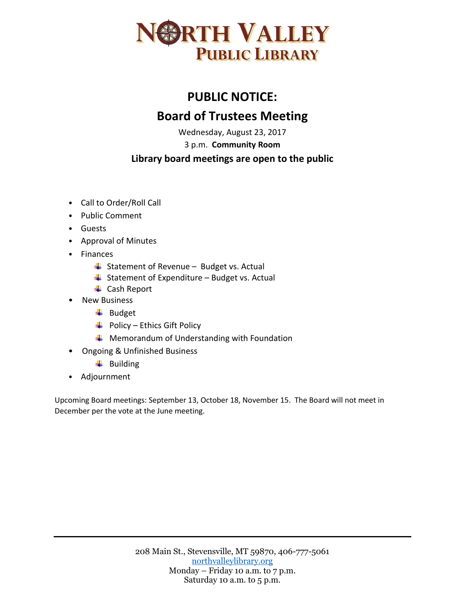

## **PUBLIC NOTICE: Board of Trustees Meeting**

Wednesday, August 23, 2017

3 p.m. **Community Room**

## **Library board meetings are open to the public**

- Call to Order/Roll Call
- Public Comment
- Guests
- Approval of Minutes
- Finances
	- $\downarrow$  Statement of Revenue Budget vs. Actual
	- $\frac{1}{2}$  Statement of Expenditure Budget vs. Actual
	- ← Cash Report
- New Business
	- $\overline{\phantom{a}}$  Budget
	- $\overline{\phantom{a} \bullet}$  Policy Ethics Gift Policy
	- $\downarrow$  Memorandum of Understanding with Foundation
- Ongoing & Unfinished Business
	- $\downarrow$  Building
- Adjournment

Upcoming Board meetings: September 13, October 18, November 15. The Board will not meet in December per the vote at the June meeting.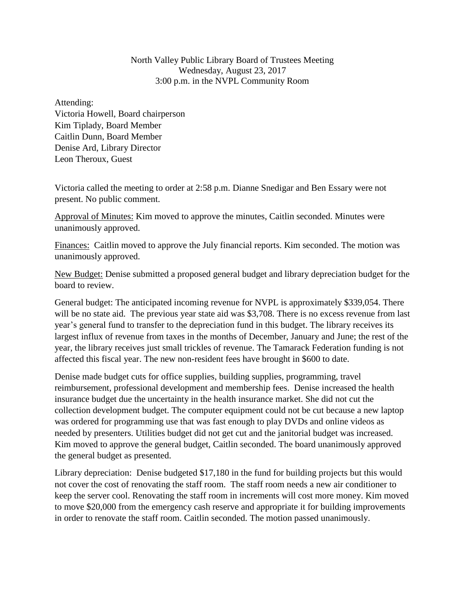North Valley Public Library Board of Trustees Meeting Wednesday, August 23, 2017 3:00 p.m. in the NVPL Community Room

Attending: Victoria Howell, Board chairperson Kim Tiplady, Board Member Caitlin Dunn, Board Member Denise Ard, Library Director Leon Theroux, Guest

Victoria called the meeting to order at 2:58 p.m. Dianne Snedigar and Ben Essary were not present. No public comment.

Approval of Minutes: Kim moved to approve the minutes, Caitlin seconded. Minutes were unanimously approved.

Finances: Caitlin moved to approve the July financial reports. Kim seconded. The motion was unanimously approved.

New Budget: Denise submitted a proposed general budget and library depreciation budget for the board to review.

General budget: The anticipated incoming revenue for NVPL is approximately \$339,054. There will be no state aid. The previous year state aid was \$3,708. There is no excess revenue from last year's general fund to transfer to the depreciation fund in this budget. The library receives its largest influx of revenue from taxes in the months of December, January and June; the rest of the year, the library receives just small trickles of revenue. The Tamarack Federation funding is not affected this fiscal year. The new non-resident fees have brought in \$600 to date.

Denise made budget cuts for office supplies, building supplies, programming, travel reimbursement, professional development and membership fees. Denise increased the health insurance budget due the uncertainty in the health insurance market. She did not cut the collection development budget. The computer equipment could not be cut because a new laptop was ordered for programming use that was fast enough to play DVDs and online videos as needed by presenters. Utilities budget did not get cut and the janitorial budget was increased. Kim moved to approve the general budget, Caitlin seconded. The board unanimously approved the general budget as presented.

Library depreciation: Denise budgeted \$17,180 in the fund for building projects but this would not cover the cost of renovating the staff room. The staff room needs a new air conditioner to keep the server cool. Renovating the staff room in increments will cost more money. Kim moved to move \$20,000 from the emergency cash reserve and appropriate it for building improvements in order to renovate the staff room. Caitlin seconded. The motion passed unanimously.